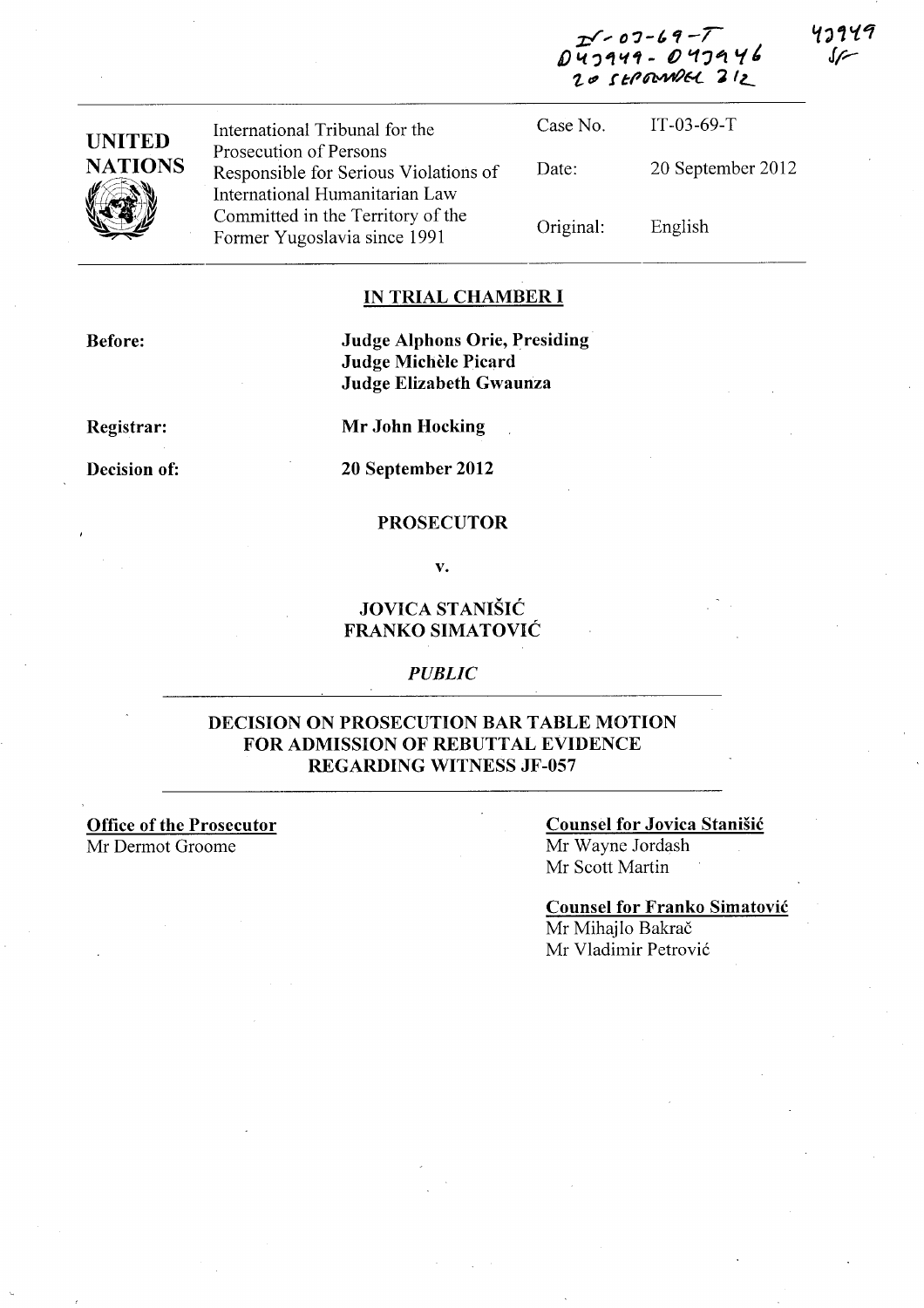**Z;/,. DJ-/"-/ f)"1.?iIf"f1- ()** '1J~ t.(~  $20$  stp annel 212

1ว149



International Tribunal for the Prosecution of Persons Responsible for Serious Violations of International Humanitarian Law Committed in the Territory of the Former Yugoslavia since 1991

Case No. Date: Original: IT-03-69-T 20 September 2012 English

### **IN TRIAL CHAMBER I**

**Before:** 

**Judge Alphons Orie, Presiding Judge Michele Picard Judge Elizabeth Gwaunza** 

**Registrar:** 

**Decision of:** 

**Mr John Hocking** 

**20 September 2012** 

#### **PROSECUTOR**

**v.** 

## **JOVICA STANISIC FRANKO SIMATOVIC**

### *PUBLIC*

## **DECISION ON PROSECUTION BAR TABLE MOTION FOR ADMISSION OF REBUTTAL EVIDENCE REGARDING WITNESS JF -057**

**Office of the Prosecutor**  Mr Dermot Groome

### **Counsel for Jovica Stanisic**  Mr Wayne Jordash Mr Scott Martin

# **Counsel for Franko Simatovic**

Mr Mihajlo Bakrač Mr Vladimir Petrović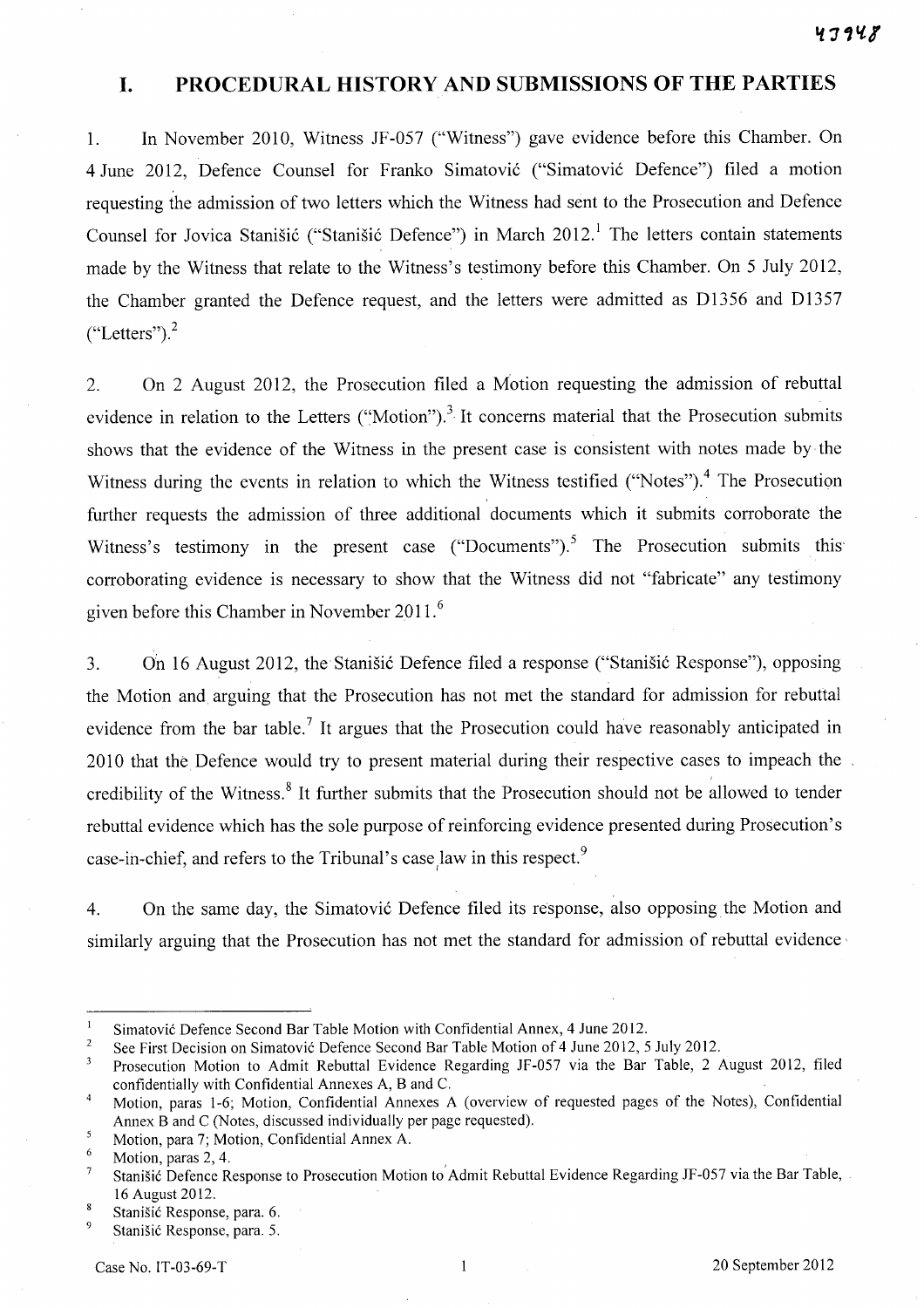## **I. PROCEDURAL HISTORY AND SUBMISSIONS OF THE PARTIES**

1. In November 2010, Witness JF -057 ("Witness") gave evidence before this Chamber. On 4 June 2012, Defence Counsel for Franko Simatović ("Simatović Defence") filed a motion requesting the admission of two letters which the Witness had sent to the Prosecution and Defence Counsel for Jovica Stanišić ("Stanišić Defence") in March  $2012<sup>1</sup>$  The letters contain statements made by the Witness that relate to the Witness's testimony before this Chamber. On 5 July 2012, the Chamber granted the Defence request, and the letters were admitted as D1356 and Dl357  $("Letters").<sup>2</sup>$ 

2. On 2 August 2012, the Prosecution filed a Motion requesting the admission of rebuttal evidence in relation to the Letters ("Motion").<sup>3</sup> It concerns material that the Prosecution submits shows that the evidence of the Witness in the present case is consistent with notes made by the Witness during the events in relation to which the Witness testified ("Notes").<sup>4</sup> The Prosecution further requests the admission of three additional documents which it submits corroborate the Witness's testimony in the present case ("Documents").<sup>5</sup> The Prosecution submits this corroborating evidence is necessary to show that the Witness did not "fabricate" any testimony given before this Chamber in November 2011. <sup>6</sup>

3. On 16 August 2012, the Stanisic Defence filed a response ("Stanisic Response"), opposing the Motion and arguing that the Prosecution has not met the standard for admission for rebuttal evidence from the bar table.<sup>7</sup> It argues that the Prosecution could have reasonably anticipated in 2010 that the Defence would try to present material during their respective cases to impeach the credibility of the Witness.<sup>8</sup> It further submits that the Prosecution should not be allowed to tender rebuttal evidence which has the sole purpose of reinforcing evidence presented during Prosecution's case-in-chief, and refers to the Tribunal's case  $\lambda^2$  law in this respect.<sup>9</sup>

4. On the same day, the Simatović Defence filed its response, also opposing the Motion and similarly arguing that the Prosecution has not met the standard for admission of rebuttal evidence

 $\mathbf{I}$ Simatovi6 Defence Second Bar Table Motion with Confidential Annex, 4 June 2012.

 $\,2$ See First Decision on Simatović Defence Second Bar Table Motion of 4 June 2012, 5 July 2012.

 $\overline{\mathbf{3}}$ Prosecution Motion to Admit Rebuttal Evidence Regarding JF-057 via the Bar Table, 2 August 2012, filed confidentially with Confidential Annexes A, Band C.

Motion, paras 1-6; Motion, Confidential Annexes A (overview of requested pages of the Notes), Confidential  $\overline{4}$ Annex Band C (Notes, discussed individually per page requested).

<sup>5</sup> Motion, para 7; Motion, Confidential Annex A.

<sup>6</sup>  Motion, paras 2, 4.

 $\overline{7}$ Stanišić Defence Response to Prosecution Motion to Admit Rebuttal Evidence Regarding JF-057 via the Bar Table, 16 August 2012.

<sup>8</sup> Stanišić Response, para. 6.

 $\overline{9}$ Stanišić Response, para. 5.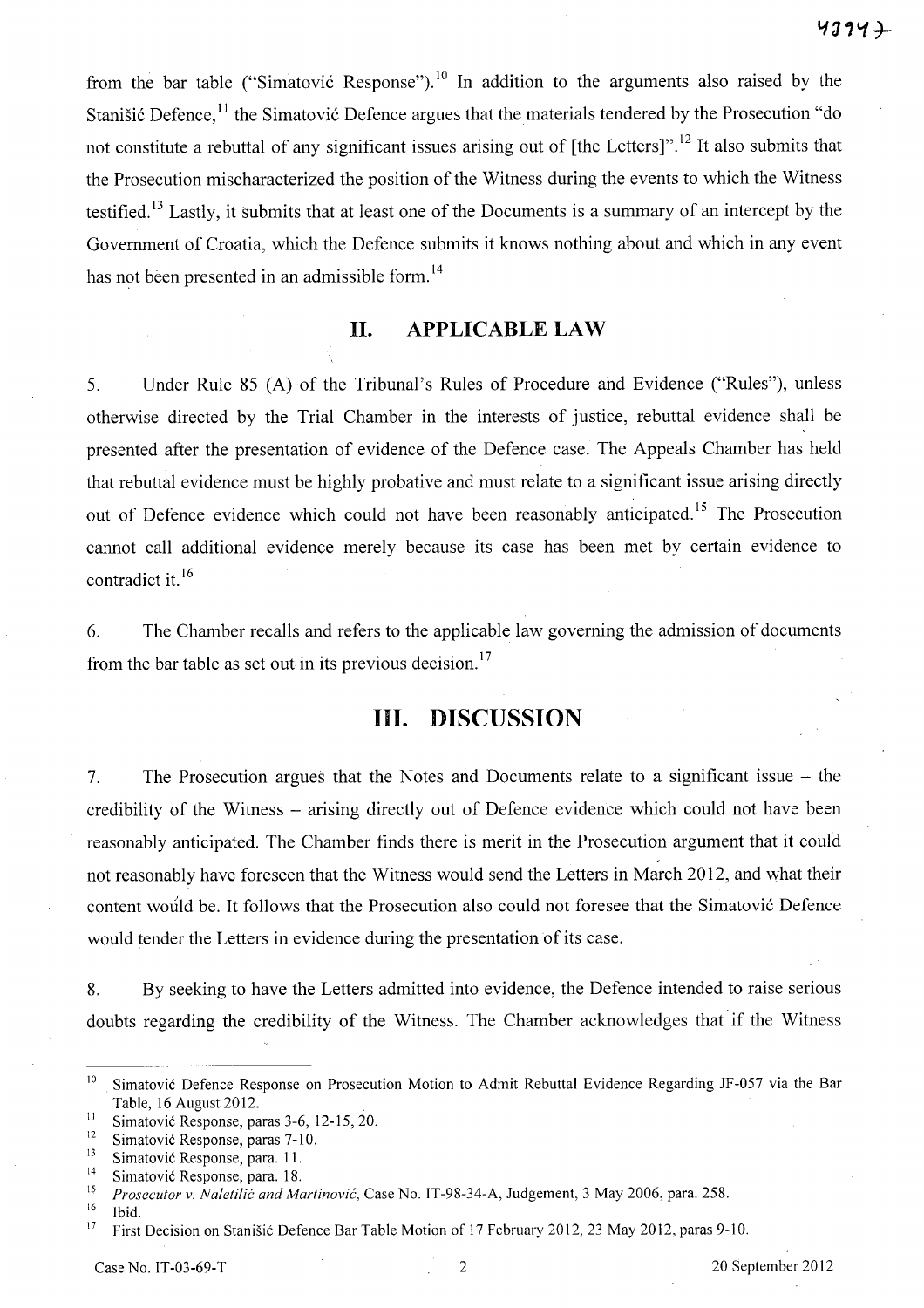from the bar table ("Simatović Response").<sup>10</sup> In addition to the arguments also raised by the Stanišić Defence, <sup>11</sup> the Simatović Defence argues that the materials tendered by the Prosecution "do not constitute a rebuttal of any significant issues arising out of [the Letters]".<sup>12</sup> It also submits that the Prosecution mischaracterized the position of the Witness during the events to which the Witness testified.<sup>13</sup> Lastly, it submits that at least one of the Documents is a summary of an intercept by the Government of Croatia, which the Defence submits it knows nothing about and which in any event has not been presented in an admissible form.<sup>14</sup>

## **H. APPLICABLE** LAW

5. Under Rule 85 (A) of the Tribunal's Rules of Procedure and Evidence ("Rules"), unless otherwise directed by the Trial Chamber in the interests of justice, rebuttal evidence shall be presented after the presentation of evidence of the Defence case. The Appeals Chamber has held that rebuttal evidence must be highly probative and must relate to a significant issue arising directly out of Defence evidence which could not have been reasonably anticipated.<sup>15</sup> The Prosecution cannot call additional evidence merely because its case has been met by certain evidence to contradict it.<sup>16</sup>

6. The Chamber recalls and refers to the applicable law governing the admission of documents from the bar table as set out in its previous decision.<sup>17</sup>

# **Ill. DISCUSSION**

7. The Prosecution argues that the Notes and Documents relate to a significant issue - the credibility of the Witness - arising directly out of Defence evidence which could not have been reasonably anticipated. The Chamber finds there is merit in the Prosecution argument that it could , not reasonably have foreseen that the Witness would send the Letters in March 2012, and what their content would be. It follows that the Prosecution also could not foresee that the Simatović Defence would tender the Letters in evidence during the presentation of its case.

8. By seeking to have the Letters admitted into evidence, the Defence intended to raise serious doubts regarding the credibility of the Witness. The Chamber acknowledges that if the Witness

<sup>&</sup>lt;sup>10</sup> Simatović Defence Response on Prosecution Motion to Admit Rebuttal Evidence Regarding JF-057 via the Bar Table, 16 August 2012.

<sup>&</sup>lt;sup>11</sup> Simatović Response, paras 3-6, 12-15, 20.

<sup>&</sup>lt;sup>12</sup> Simatović Response, paras 7-10.<br> $\frac{13}{13}$  Simatović Beanonse, para 11.

<sup>&</sup>lt;sup>13</sup> Simatović Response, para. 11.

<sup>&</sup>lt;sup>14</sup> Simatović Response, para. 18.

<sup>15</sup>*Prosecutor* v. *Naletilic and Martinovic,* Case No. IT-98-34-A, Judgement, 3 May 2006, para. 258.

 $\frac{16}{17}$  Ibid.

<sup>17</sup> First Decision on Stanisic Defence Bar Table Motion of 17 February 2012, 23 May 2012, paras 9-10.